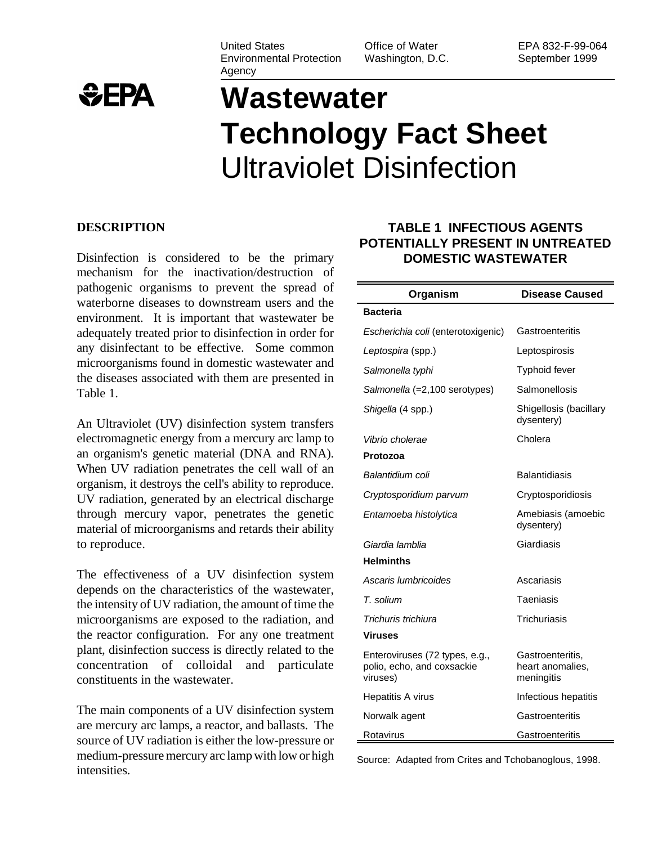

#### United States Environmental Protection Agency

Office of Water Washington, D.C.

#### EPA 832-F-99-064 September 1999

# **Wastewater Technology Fact Sheet** Ultraviolet Disinfection

#### **DESCRIPTION**

Disinfection is considered to be the primary mechanism for the inactivation/destruction of pathogenic organisms to prevent the spread of waterborne diseases to downstream users and the environment. It is important that wastewater be adequately treated prior to disinfection in order for any disinfectant to be effective. Some common microorganisms found in domestic wastewater and the diseases associated with them are presented in Table 1.

An Ultraviolet (UV) disinfection system transfers electromagnetic energy from a mercury arc lamp to an organism's genetic material (DNA and RNA). When UV radiation penetrates the cell wall of an organism, it destroys the cell's ability to reproduce. UV radiation, generated by an electrical discharge through mercury vapor, penetrates the genetic material of microorganisms and retards their ability to reproduce.

The effectiveness of a UV disinfection system depends on the characteristics of the wastewater, the intensity of UV radiation, the amount of time the microorganisms are exposed to the radiation, and the reactor configuration. For any one treatment plant, disinfection success is directly related to the concentration of colloidal and particulate constituents in the wastewater.

The main components of a UV disinfection system are mercury arc lamps, a reactor, and ballasts. The source of UV radiation is either the low-pressure or medium-pressure mercury arc lamp with low or high intensities.

### **TABLE 1 INFECTIOUS AGENTS POTENTIALLY PRESENT IN UNTREATED DOMESTIC WASTEWATER**

| Organism                                                                 | <b>Disease Caused</b>                              |
|--------------------------------------------------------------------------|----------------------------------------------------|
| <b>Bacteria</b>                                                          |                                                    |
| <i>Escherichia coli</i> (enterotoxigenic)                                | Gastroenteritis                                    |
| Leptospira (spp.)                                                        | Leptospirosis                                      |
| Salmonella typhi                                                         | <b>Typhoid fever</b>                               |
| Salmonella (=2,100 serotypes)                                            | Salmonellosis                                      |
| Shigella (4 spp.)                                                        | Shigellosis (bacillary<br>dysentery)               |
| Vibrio cholerae                                                          | Cholera                                            |
| Protozoa                                                                 |                                                    |
| Balantidium coli                                                         | <b>Balantidiasis</b>                               |
| Cryptosporidium parvum                                                   | Cryptosporidiosis                                  |
| Entamoeba histolytica                                                    | Amebiasis (amoebic<br>dysentery)                   |
| Giardia lamblia                                                          | Giardiasis                                         |
| <b>Helminths</b>                                                         |                                                    |
| Ascaris lumbricoides                                                     | Ascariasis                                         |
| T. solium                                                                | Taeniasis                                          |
| Trichuris trichiura                                                      | Trichuriasis                                       |
| Viruses                                                                  |                                                    |
| Enteroviruses (72 types, e.g.,<br>polio, echo, and coxsackie<br>viruses) | Gastroenteritis,<br>heart anomalies,<br>meningitis |
| <b>Hepatitis A virus</b>                                                 | Infectious hepatitis                               |
| Norwalk agent                                                            | Gastroenteritis                                    |
| Rotavirus                                                                | Gastroenteritis                                    |

Source: Adapted from Crites and Tchobanoglous, 1998.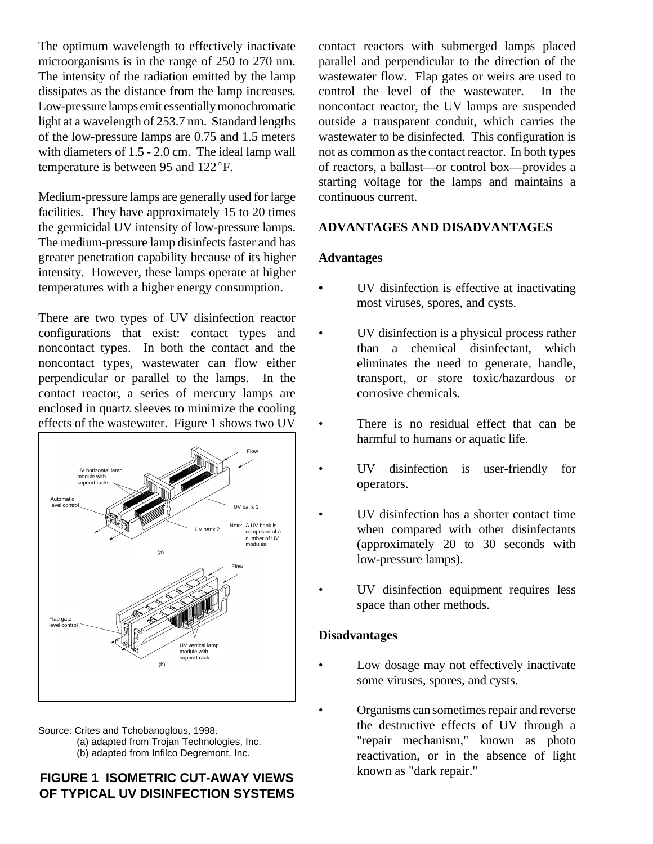The optimum wavelength to effectively inactivate microorganisms is in the range of 250 to 270 nm. The intensity of the radiation emitted by the lamp dissipates as the distance from the lamp increases. Low-pressure lamps emit essentially monochromatic light at a wavelength of 253.7 nm. Standard lengths of the low-pressure lamps are 0.75 and 1.5 meters with diameters of 1.5 - 2.0 cm. The ideal lamp wall temperature is between 95 and  $122^{\circ}$ F.

Medium-pressure lamps are generally used for large facilities. They have approximately 15 to 20 times the germicidal UV intensity of low-pressure lamps. The medium-pressure lamp disinfects faster and has greater penetration capability because of its higher intensity. However, these lamps operate at higher temperatures with a higher energy consumption.

There are two types of UV disinfection reactor configurations that exist: contact types and noncontact types. In both the contact and the noncontact types, wastewater can flow either perpendicular or parallel to the lamps. In the contact reactor, a series of mercury lamps are enclosed in quartz sleeves to minimize the cooling effects of the wastewater. Figure 1 shows two UV



Source: Crites and Tchobanoglous, 1998.

(a) adapted from Trojan Technologies, Inc.

(b) adapted from Infilco Degremont, Inc.

# **FIGURE 1 ISOMETRIC CUT-AWAY VIEWS OF TYPICAL UV DISINFECTION SYSTEMS**

contact reactors with submerged lamps placed parallel and perpendicular to the direction of the wastewater flow. Flap gates or weirs are used to control the level of the wastewater. In the noncontact reactor, the UV lamps are suspended outside a transparent conduit, which carries the wastewater to be disinfected. This configuration is not as common as the contact reactor. In both types of reactors, a ballast—or control box—provides a starting voltage for the lamps and maintains a continuous current.

# **ADVANTAGES AND DISADVANTAGES**

# **Advantages**

- UV disinfection is effective at inactivating most viruses, spores, and cysts.
- UV disinfection is a physical process rather than a chemical disinfectant, which eliminates the need to generate, handle, transport, or store toxic/hazardous or corrosive chemicals.
- There is no residual effect that can be harmful to humans or aquatic life.
- UV disinfection is user-friendly for operators.
- UV disinfection has a shorter contact time when compared with other disinfectants (approximately 20 to 30 seconds with low-pressure lamps).
- UV disinfection equipment requires less space than other methods.

# **Disadvantages**

- Low dosage may not effectively inactivate some viruses, spores, and cysts.
- Organisms can sometimes repair and reverse the destructive effects of UV through a "repair mechanism," known as photo reactivation, or in the absence of light known as "dark repair."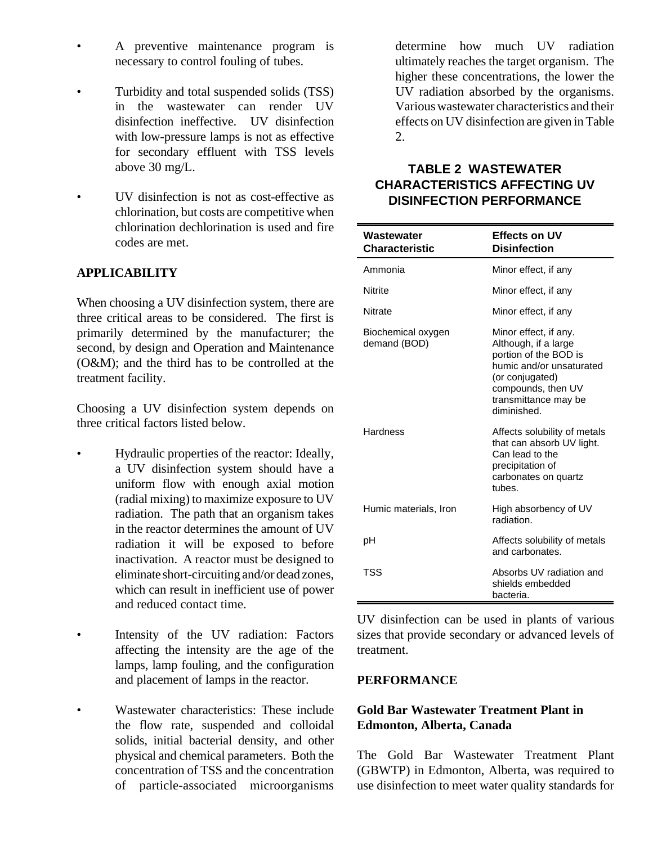- A preventive maintenance program is necessary to control fouling of tubes.
- Turbidity and total suspended solids (TSS) in the wastewater can render UV disinfection ineffective. UV disinfection with low-pressure lamps is not as effective for secondary effluent with TSS levels above 30 mg/L.
- UV disinfection is not as cost-effective as chlorination, but costs are competitive when chlorination dechlorination is used and fire codes are met.

#### **APPLICABILITY**

When choosing a UV disinfection system, there are three critical areas to be considered. The first is primarily determined by the manufacturer; the second, by design and Operation and Maintenance (O&M); and the third has to be controlled at the treatment facility.

Choosing a UV disinfection system depends on three critical factors listed below.

- Hydraulic properties of the reactor: Ideally, a UV disinfection system should have a uniform flow with enough axial motion (radial mixing) to maximize exposure to UV radiation. The path that an organism takes in the reactor determines the amount of UV radiation it will be exposed to before inactivation. A reactor must be designed to eliminate short-circuiting and/or dead zones, which can result in inefficient use of power and reduced contact time.
- Intensity of the UV radiation: Factors affecting the intensity are the age of the lamps, lamp fouling, and the configuration and placement of lamps in the reactor.
- Wastewater characteristics: These include the flow rate, suspended and colloidal solids, initial bacterial density, and other physical and chemical parameters. Both the concentration of TSS and the concentration of particle-associated microorganisms

determine how much UV radiation ultimately reaches the target organism. The higher these concentrations, the lower the UV radiation absorbed by the organisms. Various wastewater characteristics and their effects on UV disinfection are given in Table 2.

# **TABLE 2 WASTEWATER CHARACTERISTICS AFFECTING UV DISINFECTION PERFORMANCE**

| Wastewater<br><b>Characteristic</b> | <b>Effects on UV</b><br><b>Disinfection</b>                                                                                                                                        |
|-------------------------------------|------------------------------------------------------------------------------------------------------------------------------------------------------------------------------------|
| Ammonia                             | Minor effect, if any                                                                                                                                                               |
| <b>Nitrite</b>                      | Minor effect, if any                                                                                                                                                               |
| <b>Nitrate</b>                      | Minor effect, if any                                                                                                                                                               |
| Biochemical oxygen<br>demand (BOD)  | Minor effect, if any.<br>Although, if a large<br>portion of the BOD is<br>humic and/or unsaturated<br>(or conjugated)<br>compounds, then UV<br>transmittance may be<br>diminished. |
| Hardness                            | Affects solubility of metals<br>that can absorb UV light.<br>Can lead to the<br>precipitation of<br>carbonates on quartz<br>tubes.                                                 |
| Humic materials, Iron               | High absorbency of UV<br>radiation.                                                                                                                                                |
| рH                                  | Affects solubility of metals<br>and carbonates.                                                                                                                                    |
| <b>TSS</b>                          | Absorbs UV radiation and<br>shields embedded<br>bacteria.                                                                                                                          |

UV disinfection can be used in plants of various sizes that provide secondary or advanced levels of treatment.

#### **PERFORMANCE**

## **Gold Bar Wastewater Treatment Plant in Edmonton, Alberta, Canada**

The Gold Bar Wastewater Treatment Plant (GBWTP) in Edmonton, Alberta, was required to use disinfection to meet water quality standards for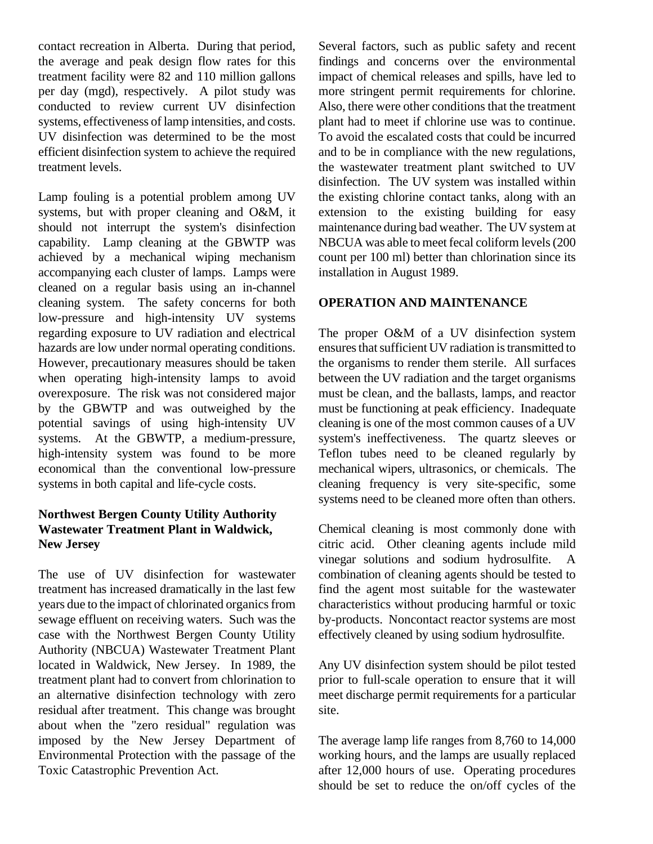contact recreation in Alberta. During that period, the average and peak design flow rates for this treatment facility were 82 and 110 million gallons per day (mgd), respectively. A pilot study was conducted to review current UV disinfection systems, effectiveness of lamp intensities, and costs. UV disinfection was determined to be the most efficient disinfection system to achieve the required treatment levels.

Lamp fouling is a potential problem among UV systems, but with proper cleaning and O&M, it should not interrupt the system's disinfection capability. Lamp cleaning at the GBWTP was achieved by a mechanical wiping mechanism accompanying each cluster of lamps. Lamps were cleaned on a regular basis using an in-channel cleaning system. The safety concerns for both low-pressure and high-intensity UV systems regarding exposure to UV radiation and electrical hazards are low under normal operating conditions. However, precautionary measures should be taken when operating high-intensity lamps to avoid overexposure. The risk was not considered major by the GBWTP and was outweighed by the potential savings of using high-intensity UV systems. At the GBWTP, a medium-pressure, high-intensity system was found to be more economical than the conventional low-pressure systems in both capital and life-cycle costs.

# **Northwest Bergen County Utility Authority Wastewater Treatment Plant in Waldwick, New Jersey**

The use of UV disinfection for wastewater treatment has increased dramatically in the last few years due to the impact of chlorinated organics from sewage effluent on receiving waters. Such was the case with the Northwest Bergen County Utility Authority (NBCUA) Wastewater Treatment Plant located in Waldwick, New Jersey. In 1989, the treatment plant had to convert from chlorination to an alternative disinfection technology with zero residual after treatment. This change was brought about when the "zero residual" regulation was imposed by the New Jersey Department of Environmental Protection with the passage of the Toxic Catastrophic Prevention Act.

Several factors, such as public safety and recent findings and concerns over the environmental impact of chemical releases and spills, have led to more stringent permit requirements for chlorine. Also, there were other conditions that the treatment plant had to meet if chlorine use was to continue. To avoid the escalated costs that could be incurred and to be in compliance with the new regulations, the wastewater treatment plant switched to UV disinfection. The UV system was installed within the existing chlorine contact tanks, along with an extension to the existing building for easy maintenance during bad weather. The UV system at NBCUA was able to meet fecal coliform levels (200 count per 100 ml) better than chlorination since its installation in August 1989.

## **OPERATION AND MAINTENANCE**

The proper O&M of a UV disinfection system ensures that sufficient UV radiation is transmitted to the organisms to render them sterile. All surfaces between the UV radiation and the target organisms must be clean, and the ballasts, lamps, and reactor must be functioning at peak efficiency. Inadequate cleaning is one of the most common causes of a UV system's ineffectiveness. The quartz sleeves or Teflon tubes need to be cleaned regularly by mechanical wipers, ultrasonics, or chemicals. The cleaning frequency is very site-specific, some systems need to be cleaned more often than others.

Chemical cleaning is most commonly done with citric acid. Other cleaning agents include mild vinegar solutions and sodium hydrosulfite. A combination of cleaning agents should be tested to find the agent most suitable for the wastewater characteristics without producing harmful or toxic by-products. Noncontact reactor systems are most effectively cleaned by using sodium hydrosulfite.

Any UV disinfection system should be pilot tested prior to full-scale operation to ensure that it will meet discharge permit requirements for a particular site.

The average lamp life ranges from 8,760 to 14,000 working hours, and the lamps are usually replaced after 12,000 hours of use. Operating procedures should be set to reduce the on/off cycles of the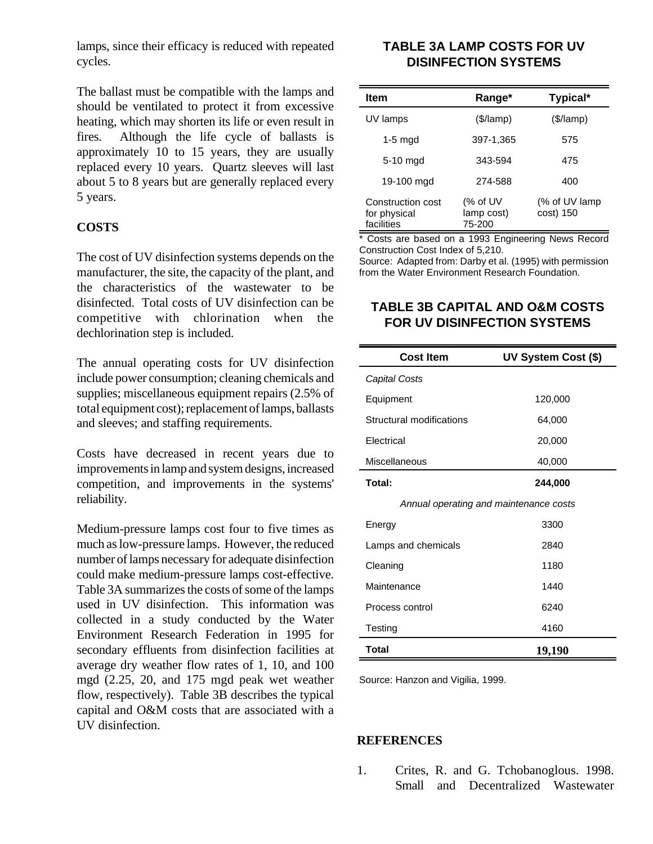lamps, since their efficacy is reduced with repeated cycles.

The ballast must be compatible with the lamps and should be ventilated to protect it from excessive heating, which may shorten its life or even result in fires. Although the life cycle of ballasts is approximately 10 to 15 years, they are usually replaced every 10 years. Quartz sleeves will last about 5 to 8 years but are generally replaced every 5 years.

#### **COSTS**

The cost of UV disinfection systems depends on the manufacturer, the site, the capacity of the plant, and the characteristics of the wastewater to be disinfected. Total costs of UV disinfection can be competitive with chlorination when the dechlorination step is included.

The annual operating costs for UV disinfection include power consumption; cleaning chemicals and supplies; miscellaneous equipment repairs (2.5% of total equipment cost); replacement of lamps, ballasts and sleeves; and staffing requirements.

Costs have decreased in recent years due to improvements in lamp and system designs, increased competition, and improvements in the systems' reliability.

Medium-pressure lamps cost four to five times as much as low-pressure lamps. However, the reduced number of lamps necessary for adequate disinfection could make medium-pressure lamps cost-effective. Table 3A summarizes the costs of some of the lamps used in UV disinfection. This information was collected in a study conducted by the Water Environment Research Federation in 1995 for secondary effluents from disinfection facilities at average dry weather flow rates of 1, 10, and 100 mgd (2.25, 20, and 175 mgd peak wet weather flow, respectively). Table 3B describes the typical capital and O&M costs that are associated with a UV disinfection.

# **TABLE 3A LAMP COSTS FOR UV DISINFECTION SYSTEMS**

| <b>Item</b>                                     | Range*                           | Typical*                   |
|-------------------------------------------------|----------------------------------|----------------------------|
| UV lamps                                        | $(\$/lamp)$                      | $(\$/lamp)$                |
| $1-5$ mgd                                       | 397-1,365                        | 575                        |
| 5-10 mgd                                        | 343-594                          | 475                        |
| 19-100 mgd                                      | 274-588                          | 400                        |
| Construction cost<br>for physical<br>facilities | (% of UV<br>lamp cost)<br>75-200 | (% of UV lamp<br>cost) 150 |

\* Costs are based on a 1993 Engineering News Record Construction Cost Index of 5,210.

Source: Adapted from: Darby et al. (1995) with permission from the Water Environment Research Foundation.

#### **TABLE 3B CAPITAL AND O&M COSTS FOR UV DISINFECTION SYSTEMS**

| <b>Cost Item</b>                       | UV System Cost (\$) |  |
|----------------------------------------|---------------------|--|
| Capital Costs                          |                     |  |
| Equipment                              | 120,000             |  |
| Structural modifications               | 64,000              |  |
| Electrical                             | 20,000              |  |
| Miscellaneous                          | 40,000              |  |
| Total:                                 | 244,000             |  |
| Annual operating and maintenance costs |                     |  |
| Energy                                 | 3300                |  |
| Lamps and chemicals                    | 2840                |  |
| Cleaning                               | 1180                |  |
| Maintenance                            | 1440                |  |
| Process control                        | 6240                |  |
| Testing                                | 4160                |  |
| Total                                  | 19,190              |  |

Source: Hanzon and Vigilia, 1999.

#### **REFERENCES**

1. Crites, R. and G. Tchobanoglous. 1998. Small and Decentralized Wastewater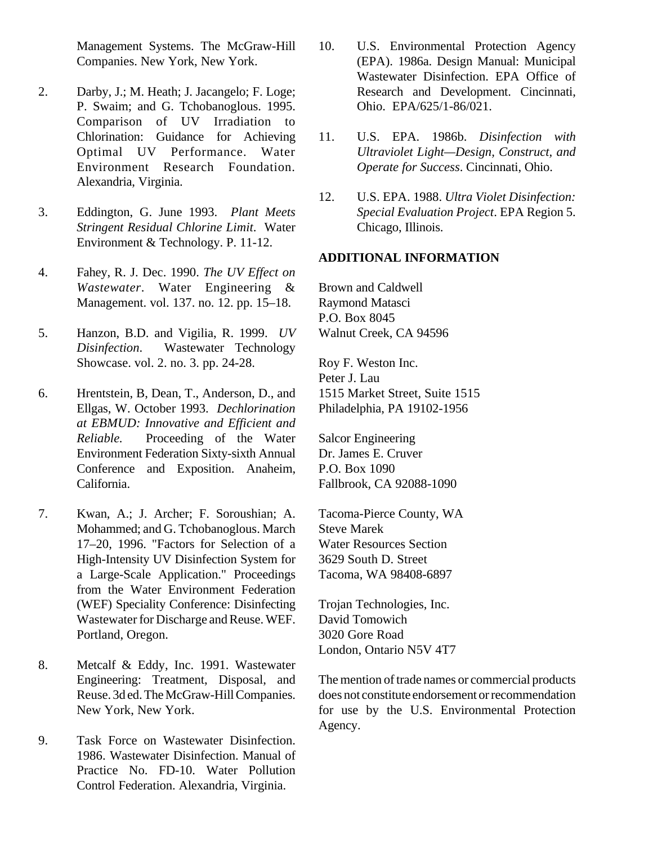Management Systems. The McGraw-Hill Companies. New York, New York.

- 2. Darby, J.; M. Heath; J. Jacangelo; F. Loge; P. Swaim; and G. Tchobanoglous. 1995. Comparison of UV Irradiation to Chlorination: Guidance for Achieving Optimal UV Performance. Water Environment Research Foundation. Alexandria, Virginia.
- 3. Eddington, G. June 1993. *Plant Meets Stringent Residual Chlorine Limit*. Water Environment & Technology. P. 11-12.
- 4. Fahey, R. J. Dec. 1990. *The UV Effect on Wastewater*. Water Engineering & Management. vol. 137. no. 12. pp. 15–18.
- 5. Hanzon, B.D. and Vigilia, R. 1999. *UV Disinfection*. Wastewater Technology Showcase. vol. 2. no. 3. pp. 24-28.
- 6. Hrentstein, B, Dean, T., Anderson, D., and Ellgas, W. October 1993. *Dechlorination at EBMUD: Innovative and Efficient and Reliable.* Proceeding of the Water Environment Federation Sixty-sixth Annual Conference and Exposition. Anaheim, California.
- 7. Kwan, A.; J. Archer; F. Soroushian; A. Mohammed; and G. Tchobanoglous. March 17–20, 1996. "Factors for Selection of a High-Intensity UV Disinfection System for a Large-Scale Application." Proceedings from the Water Environment Federation (WEF) Speciality Conference: Disinfecting Wastewater for Discharge and Reuse. WEF. Portland, Oregon.
- 8. Metcalf & Eddy, Inc. 1991. Wastewater Engineering: Treatment, Disposal, and Reuse. 3d ed. The McGraw-Hill Companies. New York, New York.
- 9. Task Force on Wastewater Disinfection. 1986. Wastewater Disinfection. Manual of Practice No. FD-10. Water Pollution Control Federation. Alexandria, Virginia.
- 10. U.S. Environmental Protection Agency (EPA). 1986a. Design Manual: Municipal Wastewater Disinfection. EPA Office of Research and Development. Cincinnati, Ohio. EPA/625/1-86/021.
- 11. U.S. EPA. 1986b. *Disinfection with Ultraviolet Light—Design, Construct, and Operate for Success*. Cincinnati, Ohio.
- 12. U.S. EPA. 1988. *Ultra Violet Disinfection: Special Evaluation Project*. EPA Region 5. Chicago, Illinois.

#### **ADDITIONAL INFORMATION**

Brown and Caldwell Raymond Matasci P.O. Box 8045 Walnut Creek, CA 94596

Roy F. Weston Inc. Peter J. Lau 1515 Market Street, Suite 1515 Philadelphia, PA 19102-1956

Salcor Engineering Dr. James E. Cruver P.O. Box 1090 Fallbrook, CA 92088-1090

Tacoma-Pierce County, WA Steve Marek Water Resources Section 3629 South D. Street Tacoma, WA 98408-6897

Trojan Technologies, Inc. David Tomowich 3020 Gore Road London, Ontario N5V 4T7

The mention of trade names or commercial products does not constitute endorsement or recommendation for use by the U.S. Environmental Protection Agency.